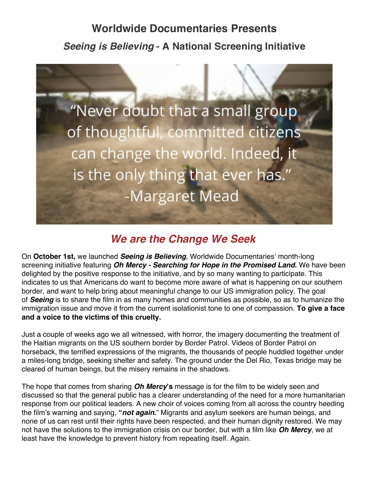## **Worldwide Documentaries Presents** *Seeing is Believing* **- A National Screening Initiative**



## *We are the Change We Seek*

On **October 1st,** we launched *Seeing is Believing*, Worldwide Documentaries' month-long screening initiative featuring *Oh Mercy - Searching for Hope in the Promised Land***.** We have been delighted by the positive response to the initiative, and by so many wanting to participate. This indicates to us that Americans do want to become more aware of what is happening on our southern border, and want to help bring about meaningful change to our US immigration policy. The goal of *Seeing* is to share the film in as many homes and communities as possible, so as to humanize the immigration issue and move it from the current isolationist tone to one of compassion. **To give a face and a voice to the victims of this cruelty.**

Just a couple of weeks ago we all witnessed, with horror, the imagery documenting the treatment of the Haitian migrants on the US southern border by Border Patrol. Videos of Border Patrol on horseback, the terrified expressions of the migrants, the thousands of people huddled together under a miles-long bridge, seeking shelter and safety. The ground under the Del Rio, Texas bridge may be cleared of human beings, but the misery remains in the shadows.

The hope that comes from sharing *Oh Mercy***'s** message is for the film to be widely seen and discussed so that the general public has a clearer understanding of the need for a more humanitarian response from our political leaders. A new choir of voices coming from all across the country heeding the film's warning and saying, **"***not again***.**" Migrants and asylum seekers are human beings, and none of us can rest until their rights have been respected, and their human dignity restored. We may not have the solutions to the immigration crisis on our border, but with a film like *Oh Mercy*, we at least have the knowledge to prevent history from repeating itself. Again.